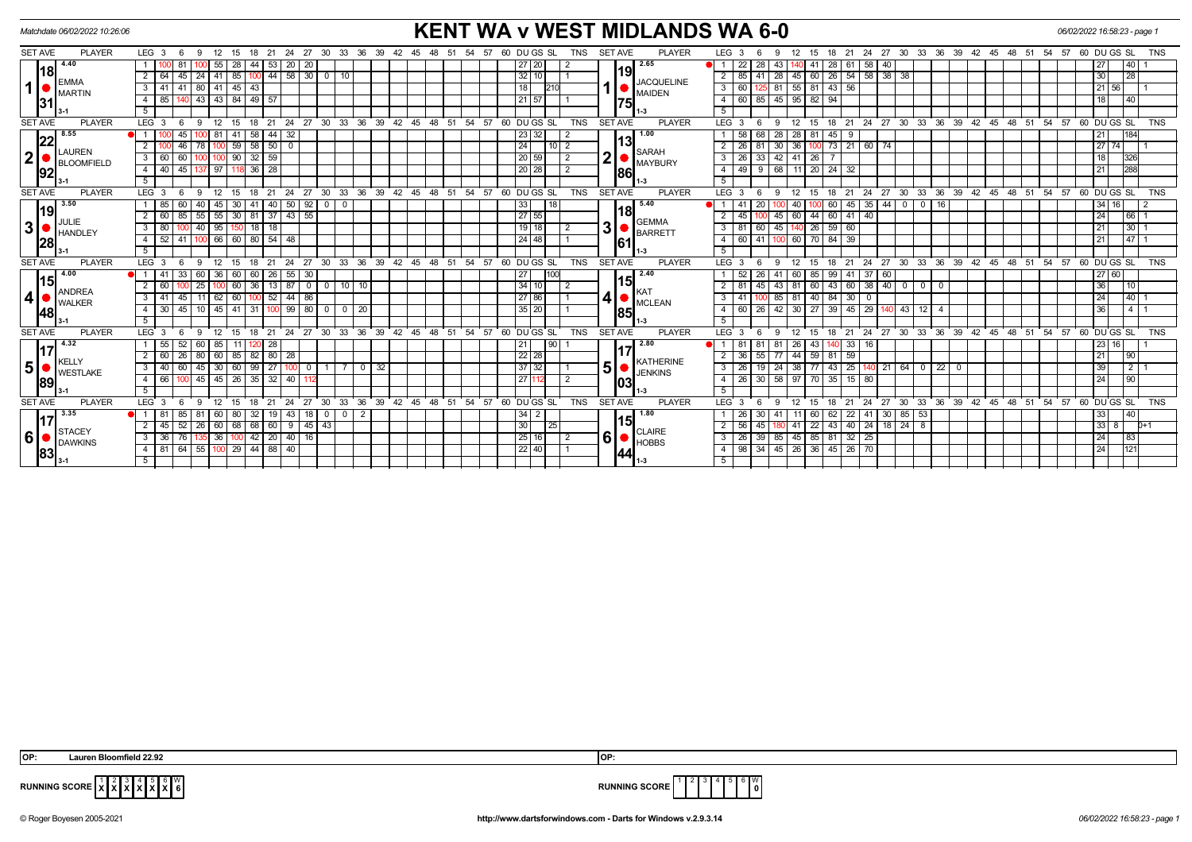| <b>KENT WA v WEST MIDLANDS WA 6-0</b><br>Matchdate 06/02/2022 10:26:06<br>06/02/2022 16:58:23 - page 1 |                                            |                                                                                                                      |                                                                                                         |                                                                                                                         |                                             |  |  |  |
|--------------------------------------------------------------------------------------------------------|--------------------------------------------|----------------------------------------------------------------------------------------------------------------------|---------------------------------------------------------------------------------------------------------|-------------------------------------------------------------------------------------------------------------------------|---------------------------------------------|--|--|--|
| <b>SET AVE</b>                                                                                         | <b>PLAYER</b>                              | $LEG_3$ 6<br>18 21 24 27 30 33 36 39 42 45 48 51<br>12 15<br>-9                                                      | <b>SET AVE</b><br><b>PLAYER</b><br>60 DU GS SL<br><b>TNS</b><br>54 57                                   | LEG <sub>3</sub><br>21  24  27  30  33  36  39  42  45  48  51<br>12 15 18<br>9<br>- 6                                  | <b>TNS</b><br>54 57 60 DU GS SL             |  |  |  |
| 1                                                                                                      | 4.40                                       | 20 20<br>28<br>53<br>-81<br>44  <br>55                                                                               | 2.65<br>27 20                                                                                           | 28<br>$58$ 40<br>22 <sub>1</sub><br>28<br>41<br>$\overline{1}$<br>43.<br>61                                             | 27<br>40 I                                  |  |  |  |
|                                                                                                        | <u> 18 </u><br><b>EMMA</b><br>MARTIN<br>31 | 44 58 30 0 10<br>$24$   41   85<br>2<br>45                                                                           | 32 10                                                                                                   | 85   41   28   45   60   26   54   58   38   38<br>2                                                                    | 30<br>28                                    |  |  |  |
|                                                                                                        |                                            | 80 41 45<br>41<br>3   41<br>43                                                                                       | <b>JACQUELINE</b><br>18<br>MAIDEN                                                                       | 55 81 43 56<br>81<br>3<br>- 60                                                                                          | 21 56                                       |  |  |  |
|                                                                                                        |                                            | 43 43 84 49 57<br>4   85  <br>140                                                                                    | 21 57<br><b>1751</b>                                                                                    | 45 95 82 94<br>$\overline{4}$<br>60 85                                                                                  | 18 <sup>1</sup><br>40                       |  |  |  |
|                                                                                                        |                                            | 5                                                                                                                    |                                                                                                         |                                                                                                                         |                                             |  |  |  |
| <b>SET AVE</b>                                                                                         | <b>PLAYER</b>                              | $LEG$ 3<br>24 27 30 33 36 39<br>12<br>21<br>15<br>18                                                                 | 42 45<br>54<br>57<br>60 DUGS SL<br><b>TNS</b><br><b>SET AVE</b><br><b>PLAYER</b><br>48<br>51            | LEG <sub>3</sub><br>$^{\circ}$ 24<br>$27 \quad 30$<br>33 36 39<br>$42 \quad 45$<br>21<br>$48^{\circ}$<br>51<br>15<br>18 | 54 57 60 DUGS SL<br><b>TNS</b>              |  |  |  |
|                                                                                                        | 8.55<br>22                                 | 32<br>58   44  <br>45<br>-41                                                                                         | 1.00<br>23 32                                                                                           | 28 81<br>58 68<br>28 <sup>1</sup><br>45                                                                                 | 21<br>184                                   |  |  |  |
|                                                                                                        |                                            | $\frac{78}{100}$ 59 58 50 0<br>46<br>2                                                                               | 24<br>$10$   2                                                                                          | $\overline{30}$ 36 100 73 21 60 74<br>26 81                                                                             | $\sqrt{27}$ 74                              |  |  |  |
| 2                                                                                                      | LAUREN<br><b>BLOOMFIELD</b>                | $100$ $100$ $90$ $32$ $59$<br>3   60   60                                                                            | SARAH<br>$\overline{\mathbf{2}}$<br>20 59<br>$\sqrt{2}$<br>MAYBURY                                      | $42$ 41 26<br>$3 \mid 26 \mid 33 \mid$                                                                                  | 18<br>326                                   |  |  |  |
|                                                                                                        | 92                                         | $36$ $28$<br>45<br>$4 \mid 40 \mid$<br>137 97 118                                                                    | 20 28<br>$\overline{2}$<br><b>86</b>                                                                    | 68 11 20 24 32<br>$\overline{4}$<br>$49$ 9                                                                              | 288<br>21                                   |  |  |  |
|                                                                                                        |                                            | 5                                                                                                                    | l 1-3                                                                                                   | -5                                                                                                                      |                                             |  |  |  |
| <b>SET AVE</b>                                                                                         | <b>PLAYER</b>                              | $24$ 27<br>$30^{\circ}$<br>33 36 39 42 45 48 51<br>$LEG_3$<br>່ 6<br>$^{\circ}$ 12<br>15<br>$^{\circ}$ 18<br>21<br>9 | 54.57<br><b>TNS</b><br><b>SET AVE</b><br><b>PLAYER</b><br>60 DU GS SL                                   | LEG <sub>3</sub><br>21 24 27 30 33 36 39 42 45 48 51<br>$^{\circ}$ 12<br>15 18<br>- 6<br>9                              | $54$ $57$ $60$ $DU$ $GS$ $SL$<br><b>TNS</b> |  |  |  |
|                                                                                                        | 3.50                                       | $\vert 92 \vert$<br>$40 \mid 50 \mid$<br>$\overline{0}$<br>$40 \mid 45 \mid 30$<br>60<br>-41<br>0 <sup>1</sup>       | 33<br>18<br>5.40                                                                                        | $0$ 16<br>35   44   0<br>60<br>20<br>40<br>45                                                                           | 34 16                                       |  |  |  |
|                                                                                                        | 19                                         | $55$   $55$   $30$  <br>81 37 43 55<br>$2 \mid 60 \mid$<br>85                                                        | 27 55                                                                                                   | 44<br>60 41 40<br>$-45$<br>$45 \ 60$<br>2                                                                               | 24<br> 66 1                                 |  |  |  |
| 3 <sup>1</sup>                                                                                         | JULIE<br><b>HANDLEY</b><br>28              | 40 95 150<br>$18$   18<br>$3 \mid 80 \mid$<br>100                                                                    | <b>GEMMA</b><br>3<br>$19$ 18<br>$\sqrt{2}$<br>BARRETT                                                   | 45 140 26 59 60<br>$\overline{3}$<br>81 60                                                                              | $\sqrt{30}$ 1<br>21                         |  |  |  |
|                                                                                                        |                                            | $4$ 52 41 100 66 60 80 54 48                                                                                         | $24$ 48<br>61                                                                                           | 4 60 41 100 60 70 84 39                                                                                                 | $\overline{47}$ 1<br>21                     |  |  |  |
|                                                                                                        |                                            | 5                                                                                                                    | l 1-3                                                                                                   | $\overline{5}$                                                                                                          |                                             |  |  |  |
| <b>SET AVE</b>                                                                                         | <b>PLAYER</b>                              | LEG <sub>3</sub><br>12<br>15<br>- 6                                                                                  | 18 21 24 27 30 33 36 39 42 45 48 51 54 57 60 DUGS SL<br><b>SET AVE</b><br><b>PLAYER</b><br><b>TNS</b>   | 18 21 24 27 30 33 36 39 42 45 48 51 54 57 60 DUGS SL<br>LEG <sub>3</sub><br>12<br>15<br>-9                              | <b>TNS</b>                                  |  |  |  |
|                                                                                                        | $-4.00$<br><u> 15</u>                      | 60 26 55 30<br>33<br>60 36 60<br>$\blacksquare$ 1                                                                    | 2.40<br>27<br>100                                                                                       | 60 85 99 41 37 60<br>-52<br>26<br>-41                                                                                   | 27 60                                       |  |  |  |
|                                                                                                        |                                            | $36$   13   87<br>$0$   10   10  <br>2<br>60<br>25 <sub>1</sub><br>60<br>$\overline{0}$                              | l15l<br>34 10<br>2                                                                                      | 38   40   0<br>43 81 60<br>43<br>$0$ 0<br>2<br>45<br>60                                                                 | 36<br>10 <sup>1</sup>                       |  |  |  |
| 4                                                                                                      | <b>ANDREA</b><br><b>WALKER</b>             | $52$   44   86<br>$11$ 62 60<br>$3 \mid 41$<br>45                                                                    | KAT<br>4 ●<br>27 86<br>MCLEAN                                                                           | 40 84<br>85 81<br>30 <sup>°</sup><br>$\mathbf{0}$<br>3<br>41                                                            | 24<br> 40                                   |  |  |  |
|                                                                                                        | 48                                         | $100$ 99<br>45<br>$10$   45   41<br>80 <sup>1</sup><br>0<br>20<br>30<br>31<br>$\overline{4}$<br>$\Omega$             | 35 20<br><b>85</b>                                                                                      | 29<br>42<br>30 <sup>°</sup><br>27<br>39<br>45<br>12<br>$\overline{4}$<br>60<br>26<br>43<br>$\overline{4}$               | 36<br>4 <sup>1</sup>                        |  |  |  |
|                                                                                                        |                                            | -5                                                                                                                   |                                                                                                         | 5                                                                                                                       |                                             |  |  |  |
| <b>SET AVE</b>                                                                                         | <b>PLAYER</b>                              | 24<br>$\frac{1}{27}$<br>$30^{\circ}$<br>33<br>36<br>39<br>42<br>LEG <sub>3</sub><br>21<br>18                         | $45 \t 48$<br>51<br>54<br>57<br>60 DU GS SL<br><b>TNS</b><br><b>SET AVE</b><br><b>PLAYER</b>            | 33<br>$36 \quad 39$<br><b>LEG</b><br>21<br>24<br>27<br>$30^{\circ}$<br>$42 \t 45$<br>48<br>່ 51<br>15<br>18             | 54.57<br>60 DUGS SL<br><b>TNS</b>           |  |  |  |
|                                                                                                        | 4.32                                       | 55 52<br>60   85   11<br>28                                                                                          | 2.80<br>21<br>90                                                                                        | 26<br>43<br>$\vert$ 33<br>81 81<br>81<br>16                                                                             | 23 16                                       |  |  |  |
|                                                                                                        |                                            | 26<br>80 60 85<br>$82 \mid 80 \mid 28$<br>2 <sup>1</sup><br>60                                                       | $22$ 28<br>KATHERINE                                                                                    | 55<br>44 59 81 59<br>36 I<br>77                                                                                         | 21<br> 90                                   |  |  |  |
| $5\bullet$                                                                                             | <b>KELLY</b><br><b>WESTLAKE</b>            | $45$ 30 60<br>$99$   27   100   0  <br>$\mathbf{3}$<br>40<br>60<br>70<br>$\vert$ 32                                  | 5<br>37 32<br><b>JENKINS</b>                                                                            | 24 38 77 43 25<br>140   21   64   0   22   0<br>3<br>19                                                                 | 39<br>2                                     |  |  |  |
|                                                                                                        | 89                                         | 45   45   26  <br>$35 \mid 32 \mid 40 \mid$<br>4   66  <br>100                                                       | 27 112<br>2<br>103                                                                                      | 58 97 70 35 15 80<br>30 <sup>1</sup><br>$\overline{4}$<br>26                                                            | 24<br>  90                                  |  |  |  |
|                                                                                                        |                                            | 5                                                                                                                    |                                                                                                         |                                                                                                                         |                                             |  |  |  |
| <b>SET AVE</b>                                                                                         | <b>PLAYER</b>                              | LEG <sup>3</sup><br>30<br>33<br>$36 \quad 39$<br>12<br>18<br>21<br>24<br>27<br>$\mathbf{Q}$<br>15                    | $42 \quad 45 \quad 48 \quad 51$<br>54 57<br>60 DUGS SL<br><b>TNS</b><br><b>SET AVE</b><br><b>PLAYER</b> | LEG <sub>3</sub><br>24<br>27 30<br>33 36 39 42 45 48 51<br>12<br>15<br>18<br>21<br>$\mathbf{Q}$                         | 54.57<br>60 DUGS SL<br><b>TNS</b>           |  |  |  |
|                                                                                                        | 3.35                                       | $32$   19   43   18   0   0   2<br>$\blacksquare$ 1<br>l 81<br>II 85 I<br>-81<br>60   80                             | l 1.80<br>$34$   2                                                                                      | 62   22   41   30   85   53<br>11 60<br>26 30                                                                           | 33<br> 40                                   |  |  |  |
|                                                                                                        | <b>STACEY</b><br><b>DAWKINS</b><br> 83     | 2   45   52   26   60   68   68   60   9   45   43                                                                   | 30<br>25<br><b>CLAIRE</b>                                                                               | 41   22   43   40   24   18   24   8<br>2<br>56 45                                                                      | 3388<br>$D+1$                               |  |  |  |
| 6                                                                                                      |                                            | 42 20 40 16<br>3   36   76<br>135 36 100                                                                             | 6 <br>25 16<br>$\sqrt{2}$<br><b>HOBBS</b>                                                               | 3   26   39   85   45   85   81   32   25                                                                               | 24<br> 83                                   |  |  |  |
|                                                                                                        |                                            | 4   81   64   55   100   29   44   88   40                                                                           | $22$ 40<br> 44                                                                                          | 4   98   34   45   26   36   45   26   70                                                                               | 24<br>121                                   |  |  |  |
|                                                                                                        |                                            |                                                                                                                      |                                                                                                         |                                                                                                                         |                                             |  |  |  |

5 **X** 6 **X** W



**RUNNING SCORE**  $\begin{bmatrix} 1 & 2 & 3 & 4 \ X & X & X & X \end{bmatrix}$ 

© Roger Boyesen 2005-2021 **http://www.dartsforwindows.com - Darts for Windows v.2.9.3.14** *06/02/2022 16:58:23 - page 1*